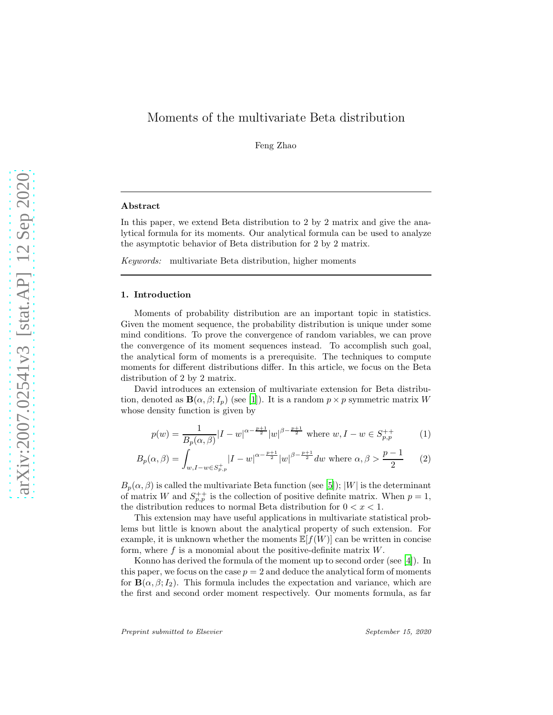# Moments of the multivariate Beta distribution

Feng Zhao

#### Abstract

In this paper, we extend Beta distribution to 2 by 2 matrix and give the analytical formula for its moments. Our analytical formula can be used to analyze the asymptotic behavior of Beta distribution for 2 by 2 matrix.

*Keywords:* multivariate Beta distribution, higher moments

#### 1. Introduction

Moments of probability distribution are an important topic in statistics. Given the moment sequence, the probability distribution is unique under some mind conditions. To prove the convergence of random variables, we can prove the convergence of its moment sequences instead. To accomplish such goal, the analytical form of moments is a prerequisite. The techniques to compute moments for different distributions differ. In this article, we focus on the Beta distribution of 2 by 2 matrix.

David introduces an extension of multivariate extension for Beta distribution, denoted as  $\mathbf{B}(\alpha,\beta;I_p)$  (see [\[1](#page-4-0)]). It is a random  $p \times p$  symmetric matrix W whose density function is given by

<span id="page-0-0"></span>
$$
p(w) = \frac{1}{B_p(\alpha, \beta)} |I - w|^{\alpha - \frac{p+1}{2}} |w|^{\beta - \frac{p+1}{2}} \text{ where } w, I - w \in S_{p,p}^{++}
$$
 (1)

$$
B_p(\alpha, \beta) = \int_{w, I - w \in S_{p,p}^+} |I - w|^{\alpha - \frac{p+1}{2}} |w|^{\beta - \frac{p+1}{2}} dw \text{ where } \alpha, \beta > \frac{p-1}{2}
$$
 (2)

 $B_p(\alpha, \beta)$  is called the multivariate Beta function (see [\[5](#page-4-1)]); |W| is the determinant of matrix W and  $S_{p,p}^{++}$  is the collection of positive definite matrix. When  $p=1$ , the distribution reduces to normal Beta distribution for  $0 < x < 1$ .

This extension may have useful applications in multivariate statistical problems but little is known about the analytical property of such extension. For example, it is unknown whether the moments  $\mathbb{E}[f(W)]$  can be written in concise form, where  $f$  is a monomial about the positive-definite matrix  $W$ .

Konno has derived the formula of the moment up to second order (see [\[4\]](#page-4-2)). In this paper, we focus on the case  $p = 2$  and deduce the analytical form of moments for  $\mathbf{B}(\alpha,\beta;I_2)$ . This formula includes the expectation and variance, which are the first and second order moment respectively. Our moments formula, as far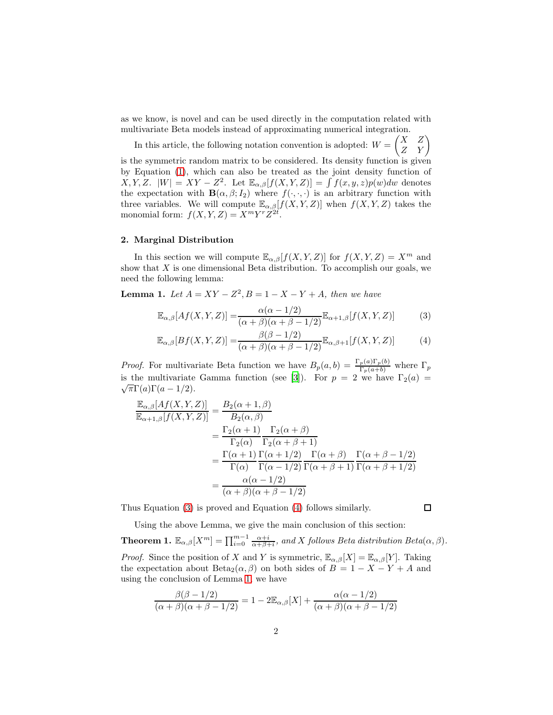as we know, is novel and can be used directly in the computation related with multivariate Beta models instead of approximating numerical integration.

In this article, the following notation convention is adopted:  $W = \begin{pmatrix} X & Z \\ Z & Y \end{pmatrix}$ is the symmetric random matrix to be considered. Its density function is given by Equation [\(1\)](#page-0-0), which can also be treated as the joint density function of  $X, Y, Z$ .  $|W| = XY - Z^2$ . Let  $\mathbb{E}_{\alpha,\beta}[f(X, Y, Z)] = \int f(x, y, z)p(w)dw$  denotes the expectation with  $\mathbf{B}(\alpha,\beta;I_2)$  where  $f(\cdot,\cdot,\cdot)$  is an arbitrary function with three variables. We will compute  $\mathbb{E}_{\alpha,\beta}[f(X,Y,Z)]$  when  $f(X,Y,Z)$  takes the monomial form:  $f(X, Y, Z) = X^m Y^r Z^{2t}$ .

#### 2. Marginal Distribution

In this section we will compute  $\mathbb{E}_{\alpha,\beta}[f(X,Y,Z)]$  for  $f(X,Y,Z) = X^m$  and show that  $X$  is one dimensional Beta distribution. To accomplish our goals, we need the following lemma:

<span id="page-1-2"></span>**Lemma 1.** Let  $A = XY - Z^2, B = 1 - X - Y + A$ , then we have

$$
\mathbb{E}_{\alpha,\beta}[Af(X,Y,Z)] = \frac{\alpha(\alpha-1/2)}{(\alpha+\beta)(\alpha+\beta-1/2)}\mathbb{E}_{\alpha+1,\beta}[f(X,Y,Z)]\tag{3}
$$

$$
\mathbb{E}_{\alpha,\beta}[Bf(X,Y,Z)] = \frac{\beta(\beta - 1/2)}{(\alpha + \beta)(\alpha + \beta - 1/2)} \mathbb{E}_{\alpha,\beta+1}[f(X,Y,Z)] \tag{4}
$$

*Proof.* For multivariate Beta function we have  $B_p(a, b) = \frac{\Gamma_p(a)\Gamma_p(b)}{\Gamma_p(a+b)}$  where  $\Gamma_p$ is the multivariate Gamma function (see [\[3\]](#page-4-3)). For  $p = 2$  we have  $\Gamma_2(a) =$  $\sqrt{\pi}\Gamma(a)\Gamma(a-1/2).$ 

$$
\frac{\mathbb{E}_{\alpha,\beta}[Af(X,Y,Z)]}{\mathbb{E}_{\alpha+1,\beta}[f(X,Y,Z)]} = \frac{B_2(\alpha+1,\beta)}{B_2(\alpha,\beta)}
$$
\n
$$
= \frac{\Gamma_2(\alpha+1)}{\Gamma_2(\alpha)} \frac{\Gamma_2(\alpha+\beta)}{\Gamma_2(\alpha+\beta+1)}
$$
\n
$$
= \frac{\Gamma(\alpha+1)}{\Gamma(\alpha)} \frac{\Gamma(\alpha+1/2)}{\Gamma(\alpha-1/2)} \frac{\Gamma(\alpha+\beta)}{\Gamma(\alpha+\beta+1)} \frac{\Gamma(\alpha+\beta-1/2)}{\Gamma(\alpha+\beta+1/2)}
$$
\n
$$
= \frac{\alpha(\alpha-1/2)}{(\alpha+\beta)(\alpha+\beta-1/2)}
$$

Thus Equation [\(3\)](#page-1-0) is proved and Equation [\(4\)](#page-1-1) follows similarly.

<span id="page-1-1"></span><span id="page-1-0"></span> $\Box$ 

Using the above Lemma, we give the main conclusion of this section:

<span id="page-1-3"></span>**Theorem 1.**  $\mathbb{E}_{\alpha,\beta}[X^m] = \prod_{i=0}^{m-1} \frac{\alpha+i}{\alpha+\beta+i}$ , and X follows Beta distribution Beta $(\alpha,\beta)$ . *Proof.* Since the position of X and Y is symmetric,  $\mathbb{E}_{\alpha,\beta}[X] = \mathbb{E}_{\alpha,\beta}[Y]$ . Taking the expectation about Beta<sub>2</sub>( $\alpha$ , $\beta$ ) on both sides of  $B = 1 - X - Y + A$  and using the conclusion of Lemma [1,](#page-1-2) we have

$$
\frac{\beta(\beta-1/2)}{(\alpha+\beta)(\alpha+\beta-1/2)} = 1 - 2\mathbb{E}_{\alpha,\beta}[X] + \frac{\alpha(\alpha-1/2)}{(\alpha+\beta)(\alpha+\beta-1/2)}
$$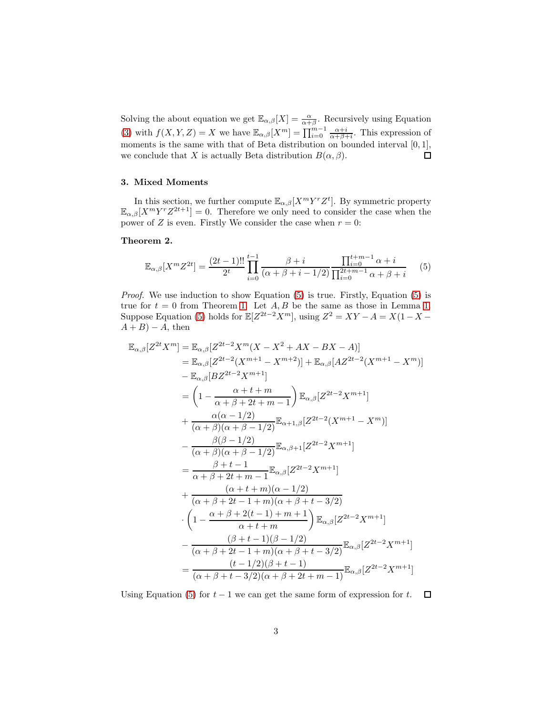Solving the about equation we get  $\mathbb{E}_{\alpha,\beta}[X] = \frac{\alpha}{\alpha+\beta}$ . Recursively using Equation [\(3\)](#page-1-0) with  $f(X, Y, Z) = X$  we have  $\mathbb{E}_{\alpha, \beta}[X^m] = \prod_{i=0}^{m-1} \frac{\alpha + i}{\alpha + \beta + i}$ . This expression of moments is the same with that of Beta distribution on bounded interval  $[0, 1]$ , we conclude that X is actually Beta distribution  $B(\alpha, \beta)$ .  $\Box$ 

## 3. Mixed Moments

In this section, we further compute  $\mathbb{E}_{\alpha,\beta}[X^m Y^r Z^t]$ . By symmetric property  $\mathbb{E}_{\alpha,\beta}[X^m Y^r Z^{2t+1}] = 0.$  Therefore we only need to consider the case when the power of Z is even. Firstly We consider the case when  $r = 0$ :

#### <span id="page-2-1"></span>Theorem 2.

<span id="page-2-0"></span>
$$
\mathbb{E}_{\alpha,\beta}[X^m Z^{2t}] = \frac{(2t-1)!!}{2^t} \prod_{i=0}^{t-1} \frac{\beta+i}{(\alpha+\beta+i-1/2)} \frac{\prod_{i=0}^{t+m-1} \alpha+i}{\prod_{i=0}^{2t+m-1} \alpha+\beta+i} \qquad (5)
$$

*Proof.* We use induction to show Equation [\(5\)](#page-2-0) is true. Firstly, Equation [\(5\)](#page-2-0) is true for  $t = 0$  from Theorem [1.](#page-1-2) Let  $A, B$  be the same as those in Lemma 1. Suppose Equation [\(5\)](#page-2-0) holds for  $\mathbb{E}[Z^{2t-2}X^m]$ , using  $Z^2 = XY - A = X(1 - X - A)$  $A + B$ ) – A, then

$$
\mathbb{E}_{\alpha,\beta}[Z^{2t}X^{m}] = \mathbb{E}_{\alpha,\beta}[Z^{2t-2}X^{m}(X-X^{2}+AX-BX-A)]
$$
\n
$$
= \mathbb{E}_{\alpha,\beta}[Z^{2t-2}(X^{m+1}-X^{m+2})] + \mathbb{E}_{\alpha,\beta}[AZ^{2t-2}(X^{m+1}-X^{m})]
$$
\n
$$
- \mathbb{E}_{\alpha,\beta}[BZ^{2t-2}X^{m+1}]
$$
\n
$$
= \left(1 - \frac{\alpha+t+m}{\alpha+\beta+2t+m-1}\right) \mathbb{E}_{\alpha,\beta}[Z^{2t-2}X^{m+1}]
$$
\n
$$
+ \frac{\alpha(\alpha-1/2)}{(\alpha+\beta)(\alpha+\beta-1/2)} \mathbb{E}_{\alpha+1,\beta}[Z^{2t-2}(X^{m+1}-X^{m})]
$$
\n
$$
- \frac{\beta(\beta-1/2)}{(\alpha+\beta)(\alpha+\beta-1/2)} \mathbb{E}_{\alpha,\beta+1}[Z^{2t-2}X^{m+1}]
$$
\n
$$
= \frac{\beta+t-1}{\alpha+\beta+2t+m-1} \mathbb{E}_{\alpha,\beta}[Z^{2t-2}X^{m+1}]
$$
\n
$$
+ \frac{(\alpha+t+m)(\alpha-1/2)}{(\alpha+\beta+2t-1+m)(\alpha+\beta+t-3/2)}
$$
\n
$$
\cdot \left(1 - \frac{\alpha+\beta+2(t-1)+m+1}{\alpha+t+m}\right) \mathbb{E}_{\alpha,\beta}[Z^{2t-2}X^{m+1}]
$$
\n
$$
- \frac{(\beta+t-1)(\beta-1/2)}{(\alpha+\beta+2t-1+m)(\alpha+\beta+t-3/2)} \mathbb{E}_{\alpha,\beta}[Z^{2t-2}X^{m+1}]
$$
\n
$$
= \frac{(t-1/2)(\beta+t-1)}{(\alpha+\beta+t-3/2)(\alpha+\beta+2t+m-1)} \mathbb{E}_{\alpha,\beta}[Z^{2t-2}X^{m+1}]
$$

Using Equation [\(5\)](#page-2-0) for  $t-1$  we can get the same form of expression for t.  $\Box$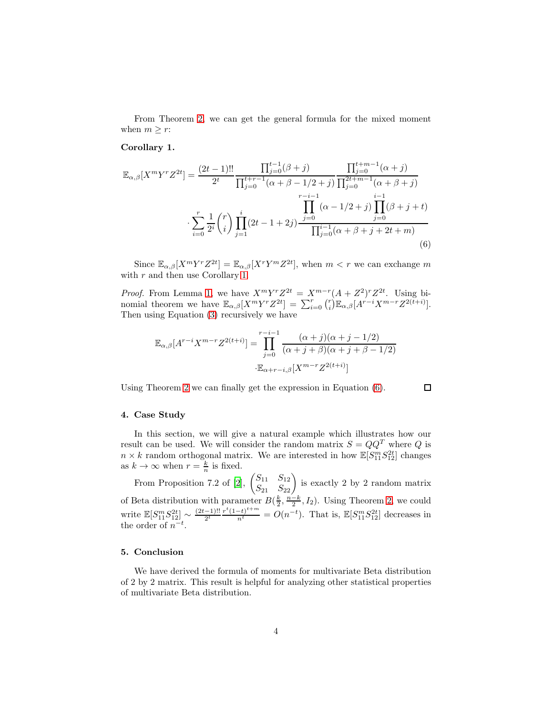From Theorem [2,](#page-2-1) we can get the general formula for the mixed moment when  $m \geq r$ :

## <span id="page-3-0"></span>Corollary 1.

$$
\mathbb{E}_{\alpha,\beta}[X^m Y^r Z^{2t}] = \frac{(2t-1)!!}{2^t} \frac{\prod_{j=0}^{t-1} (\beta+j)}{\prod_{j=0}^{t+r-1} (\alpha+\beta-1/2+j)} \frac{\prod_{j=0}^{t+m-1} (\alpha+j)}{\prod_{j=0}^{2t+m-1} (\alpha+\beta+j)}
$$

$$
\sum_{i=0}^{r} \frac{1}{2^i} {r \choose i} \prod_{j=1}^i (2t-1+2j) \frac{\prod_{j=0}^{i-1} (\alpha-1/2+j)}{\prod_{j=0}^{i-1} (\alpha+\beta+j+2t+m)}
$$
(6)

Since  $\mathbb{E}_{\alpha,\beta}[X^m Y^r Z^{2t}] = \mathbb{E}_{\alpha,\beta}[X^r Y^m Z^{2t}]$ , when  $m < r$  we can exchange m with  $r$  and then use Corollary [1.](#page-3-0)

*Proof.* From Lemma [1,](#page-1-2) we have  $X^m Y^r Z^{2t} = X^{m-r} (A + Z^2)^r Z^{2t}$ . Using binomial theorem we have  $\mathbb{E}_{\alpha,\beta}[X^m Y^r Z^{2t}] = \sum_{i=0}^r {r \choose i} \mathbb{E}_{\alpha,\beta}[A^{r-i} X^{m-r} Z^{2(t+i)}].$ Then using Equation [\(3\)](#page-1-0) recursively we have

$$
\mathbb{E}_{\alpha,\beta}[A^{r-i}X^{m-r}Z^{2(t+i)}] = \prod_{j=0}^{r-i-1} \frac{(\alpha+j)(\alpha+j-1/2)}{(\alpha+j+\beta)(\alpha+j+\beta-1/2)}
$$

$$
\mathbb{E}_{\alpha+r-i,\beta}[X^{m-r}Z^{2(t+i)}]
$$

Using Theorem [2](#page-2-1) we can finally get the expression in Equation [\(6\)](#page-3-1).

<span id="page-3-1"></span> $\Box$ 

### 4. Case Study

In this section, we will give a natural example which illustrates how our result can be used. We will consider the random matrix  $S = QQ<sup>T</sup>$  where Q is  $n \times k$  random orthogonal matrix. We are interested in how  $\mathbb{E}[S_{11}^m S_{12}^{2t}]$  changes as  $k \to \infty$  when  $r = \frac{k}{n}$  is fixed.

From Proposition 7.2 of [\[2](#page-4-4)],  $\begin{pmatrix} S_{11} & S_{12} \\ S_{21} & S_{22} \end{pmatrix}$  is exactly 2 by 2 random matrix of Beta distribution with parameter  $B(\frac{k}{2}, \frac{n-k}{2}, I_2)$ . Using Theorem [2,](#page-2-1) we could write  $\mathbb{E}[S_{11}^{m}S_{12}^{2t}] \sim \frac{(2t-1)!!}{2^t}$  $\frac{(-1)!!}{2^t} \frac{r^t (1-t)^{t+m}}{n^t} = O(n^{-t}).$  That is,  $\mathbb{E}[S_{11}^m S_{12}^{2t}]$  decreases in the order of  $n^{-t}$ .

## 5. Conclusion

We have derived the formula of moments for multivariate Beta distribution of 2 by 2 matrix. This result is helpful for analyzing other statistical properties of multivariate Beta distribution.